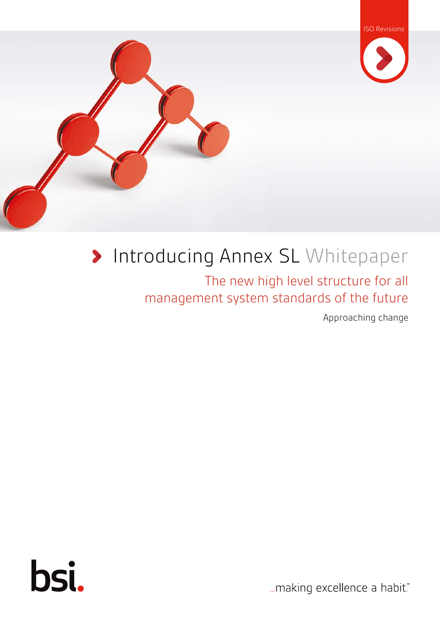



### Introducing Annex SL Whitepaper

The new high level structure for all management system standards of the future

Approaching change



... making excellence a habit."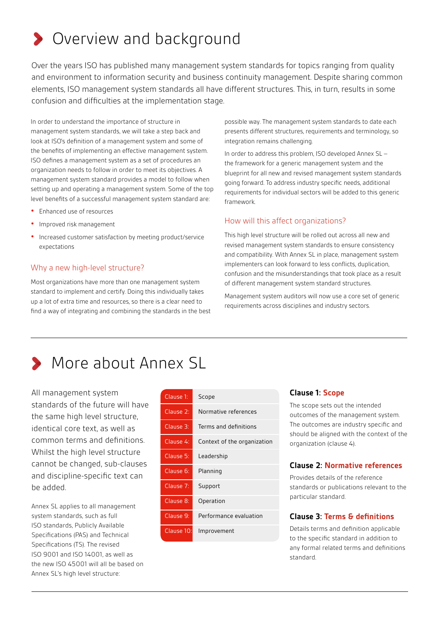# **>** Overview and background

Over the years ISO has published many management system standards for topics ranging from quality and environment to information security and business continuity management. Despite sharing common elements, ISO management system standards all have different structures. This, in turn, results in some confusion and difficulties at the implementation stage.

In order to understand the importance of structure in management system standards, we will take a step back and look at ISO's definition of a management system and some of the benefits of implementing an effective management system. ISO defines a management system as a set of procedures an organization needs to follow in order to meet its objectives. A management system standard provides a model to follow when setting up and operating a management system. Some of the top level benefits of a successful management system standard are:

- **•** Enhanced use of resources
- **•** Improved risk management
- **•** Increased customer satisfaction by meeting product/service expectations

#### Why a new high-level structure?

Most organizations have more than one management system standard to implement and certify. Doing this individually takes up a lot of extra time and resources, so there is a clear need to find a way of integrating and combining the standards in the best possible way. The management system standards to date each presents different structures, requirements and terminology, so integration remains challenging.

In order to address this problem, ISO developed Annex SL – the framework for a generic management system and the blueprint for all new and revised management system standards going forward. To address industry specific needs, additional requirements for individual sectors will be added to this generic framework.

#### How will this affect organizations?

This high level structure will be rolled out across all new and revised management system standards to ensure consistency and compatibility. With Annex SL in place, management system implementers can look forward to less conflicts, duplication, confusion and the misunderstandings that took place as a result of different management system standard structures.

Management system auditors will now use a core set of generic requirements across disciplines and industry sectors.

# **More about Annex SL**

All management system standards of the future will have the same high level structure, identical core text, as well as common terms and definitions. Whilst the high level structure cannot be changed, sub-clauses and discipline-specific text can be added.

Annex SL applies to all management system standards, such as full ISO standards, Publicly Available Specifications (PAS) and Technical Specifications (TS). The revised ISO 9001 and ISO 14001, as well as the new ISO 45001 will all be based on Annex SL's high level structure:

| Clause 1:            | Scope                       |
|----------------------|-----------------------------|
| Clause 2:            | Normative references        |
| Clause 3:            | Terms and definitions       |
| Clause 4:            | Context of the organization |
| Clause 5:            | Leadership                  |
| Clause 6:            | Planning                    |
| Clause <sub>7:</sub> | Support                     |
| Clause 8:            | Operation                   |
| Clause 9:            | Performance evaluation      |
| Clause 10:           | Improvement                 |

ISO Revisions

#### **Clause 1: Scope**

The scope sets out the intended outcomes of the management system. The outcomes are industry specific and should be aligned with the context of the organization (clause 4).

#### **Clause 2: Normative references**

Provides details of the reference standards or publications relevant to the particular standard.

#### **Clause 3: Terms & definitions**

Details terms and definition applicable to the specific standard in addition to any formal related terms and definitions standard.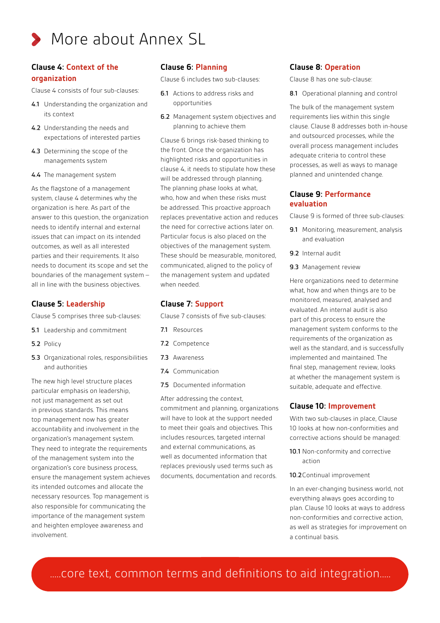

#### **Clause 4: Context of the organization**

Clause 4 consists of four sub-clauses:

- 4.1 Understanding the organization and its context
- 4.2 Understanding the needs and expectations of interested parties
- 4.3 Determining the scope of the managements system
- 4.4 The management system

As the flagstone of a management system, clause 4 determines why the organization is here. As part of the answer to this question, the organization needs to identify internal and external issues that can impact on its intended outcomes, as well as all interested parties and their requirements. It also needs to document its scope and set the boundaries of the management system – all in line with the business objectives.

#### **Clause 5: Leadership**

Clause 5 comprises three sub-clauses:

- 5.1 Leadership and commitment
- 5.2 Policy
- 5.3 Organizational roles, responsibilities and authorities

The new high level structure places particular emphasis on leadership, not just management as set out in previous standards. This means top management now has greater accountability and involvement in the organization's management system. They need to integrate the requirements of the management system into the organization's core business process, ensure the management system achieves its intended outcomes and allocate the necessary resources. Top management is also responsible for communicating the importance of the management system and heighten employee awareness and involvement.

#### **Clause 6: Planning**

Clause 6 includes two sub-clauses:

- 6.1 Actions to address risks and opportunities
- 6.2 Management system objectives and planning to achieve them

Clause 6 brings risk-based thinking to the front. Once the organization has highlighted risks and opportunities in clause 4, it needs to stipulate how these will be addressed through planning. The planning phase looks at what, who, how and when these risks must be addressed. This proactive approach replaces preventative action and reduces the need for corrective actions later on. Particular focus is also placed on the objectives of the management system. These should be measurable, monitored, communicated, aligned to the policy of the management system and updated when needed.

#### **Clause 7: Support**

Clause 7 consists of five sub-clauses:

- 7.1 Resources
- 7.2 Competence
- 7.3 Awareness
- 7.4 Communication
- 7.5 Documented information

After addressing the context, commitment and planning, organizations will have to look at the support needed to meet their goals and objectives. This includes resources, targeted internal and external communications, as well as documented information that replaces previously used terms such as documents, documentation and records.

#### **Clause 8: Operation**

Clause 8 has one sub-clause:

8.1 Operational planning and control

The bulk of the management system requirements lies within this single clause. Clause 8 addresses both in-house and outsourced processes, while the overall process management includes adequate criteria to control these processes, as well as ways to manage planned and unintended change.

#### **Clause 9: Performance evaluation**

Clause 9 is formed of three sub-clauses:

- 9.1 Monitoring, measurement, analysis and evaluation
- 9.2 Internal audit
- 9.3 Management review

Here organizations need to determine what, how and when things are to be monitored, measured, analysed and evaluated. An internal audit is also part of this process to ensure the management system conforms to the requirements of the organization as well as the standard, and is successfully implemented and maintained. The final step, management review, looks at whether the management system is suitable, adequate and effective.

#### **Clause 10: Improvement**

With two sub-clauses in place, Clause 10 looks at how non-conformities and corrective actions should be managed:

- 10.1 Non-conformity and corrective action
- 10.2Continual improvement

In an ever-changing business world, not everything always goes according to plan. Clause 10 looks at ways to address non-conformities and corrective action, as well as strategies for improvement on a continual basis.